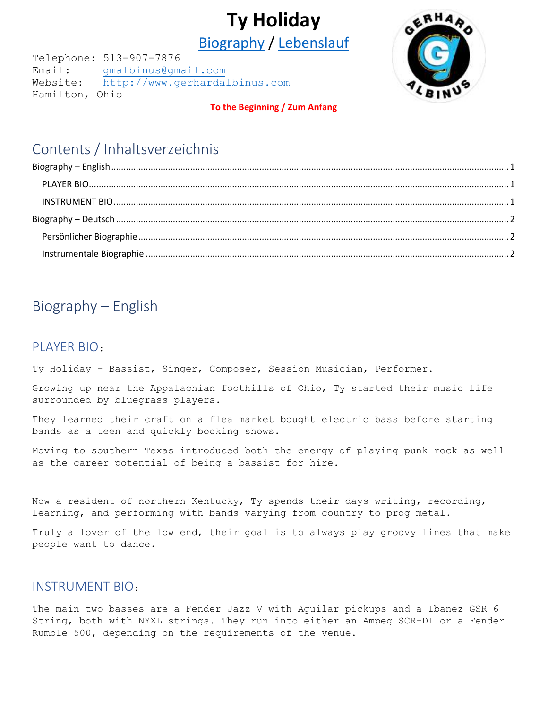# **Ty Holiday**

Biography / Lebenslauf

<span id="page-0-0"></span>Telephone: 513-907-7876 Email: [gmalbinus@gmail.com](mailto:gmalbinus@gmail.com) Website: [http://www.gerhardalbinus.com](http://www.gerhardalbinus.com/) Hamilton, Ohio

ERHA

#### **[To the Beginning / Zum Anfang](#page-0-0)**

## Contents / Inhaltsverzeichnis

## <span id="page-0-1"></span>Biography – English

### <span id="page-0-2"></span>PLAYER BIO:

Ty Holiday - Bassist, Singer, Composer, Session Musician, Performer.

Growing up near the Appalachian foothills of Ohio, Ty started their music life surrounded by bluegrass players.

They learned their craft on a flea market bought electric bass before starting bands as a teen and quickly booking shows.

Moving to southern Texas introduced both the energy of playing punk rock as well as the career potential of being a bassist for hire.

Now a resident of northern Kentucky, Ty spends their days writing, recording, learning, and performing with bands varying from country to prog metal.

Truly a lover of the low end, their goal is to always play groovy lines that make people want to dance.

### <span id="page-0-3"></span>INSTRUMENT BIO:

The main two basses are a Fender Jazz V with Aguilar pickups and a Ibanez GSR 6 String, both with NYXL strings. They run into either an Ampeg SCR-DI or a Fender Rumble 500, depending on the requirements of the venue.